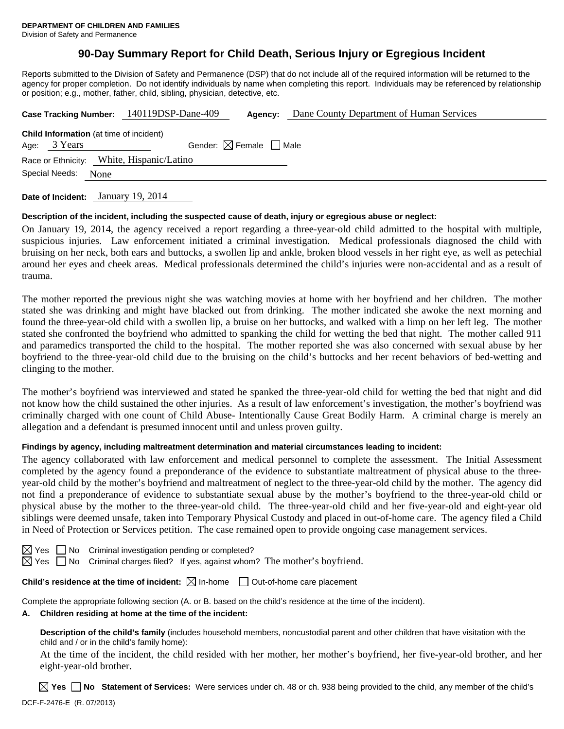# **90-Day Summary Report for Child Death, Serious Injury or Egregious Incident**

Reports submitted to the Division of Safety and Permanence (DSP) that do not include all of the required information will be returned to the agency for proper completion. Do not identify individuals by name when completing this report. Individuals may be referenced by relationship or position; e.g., mother, father, child, sibling, physician, detective, etc.

|                                                                     | Case Tracking Number: 140119DSP-Dane-409<br>Agency: | Dane County Department of Human Services |
|---------------------------------------------------------------------|-----------------------------------------------------|------------------------------------------|
| <b>Child Information</b> (at time of incident)<br>Age: 3 Years      | Gender: $\boxtimes$ Female $\Box$ Male              |                                          |
| Race or Ethnicity: White, Hispanic/Latino<br>Special Needs:<br>None |                                                     |                                          |
|                                                                     |                                                     |                                          |

**Date of Incident:** January 19, 2014

## **Description of the incident, including the suspected cause of death, injury or egregious abuse or neglect:**

On January 19, 2014, the agency received a report regarding a three-year-old child admitted to the hospital with multiple, suspicious injuries. Law enforcement initiated a criminal investigation. Medical professionals diagnosed the child with bruising on her neck, both ears and buttocks, a swollen lip and ankle, broken blood vessels in her right eye, as well as petechial around her eyes and cheek areas. Medical professionals determined the child's injuries were non-accidental and as a result of trauma.

The mother reported the previous night she was watching movies at home with her boyfriend and her children. The mother stated she was drinking and might have blacked out from drinking. The mother indicated she awoke the next morning and found the three-year-old child with a swollen lip, a bruise on her buttocks, and walked with a limp on her left leg. The mother stated she confronted the boyfriend who admitted to spanking the child for wetting the bed that night. The mother called 911 and paramedics transported the child to the hospital. The mother reported she was also concerned with sexual abuse by her boyfriend to the three-year-old child due to the bruising on the child's buttocks and her recent behaviors of bed-wetting and clinging to the mother.

The mother's boyfriend was interviewed and stated he spanked the three-year-old child for wetting the bed that night and did not know how the child sustained the other injuries. As a result of law enforcement's investigation, the mother's boyfriend was criminally charged with one count of Child Abuse- Intentionally Cause Great Bodily Harm. A criminal charge is merely an allegation and a defendant is presumed innocent until and unless proven guilty.

## **Findings by agency, including maltreatment determination and material circumstances leading to incident:**

The agency collaborated with law enforcement and medical personnel to complete the assessment. The Initial Assessment completed by the agency found a preponderance of the evidence to substantiate maltreatment of physical abuse to the threeyear-old child by the mother's boyfriend and maltreatment of neglect to the three-year-old child by the mother. The agency did not find a preponderance of evidence to substantiate sexual abuse by the mother's boyfriend to the three-year-old child or physical abuse by the mother to the three-year-old child. The three-year-old child and her five-year-old and eight-year old siblings were deemed unsafe, taken into Temporary Physical Custody and placed in out-of-home care. The agency filed a Child in Need of Protection or Services petition. The case remained open to provide ongoing case management services.

|  | $\boxtimes$ Yes $\Box$ No Criminal investigation pending or completed? |                                                                                                 |
|--|------------------------------------------------------------------------|-------------------------------------------------------------------------------------------------|
|  |                                                                        | $\boxtimes$ Yes $\Box$ No Criminal charges filed? If yes, against whom? The mother's boyfriend. |

## **Child's residence at the time of incident:**  $\boxtimes$  In-home  $\Box$  Out-of-home care placement

Complete the appropriate following section (A. or B. based on the child's residence at the time of the incident).

### **A. Children residing at home at the time of the incident:**

**Description of the child's family** (includes household members, noncustodial parent and other children that have visitation with the child and / or in the child's family home):

 At the time of the incident, the child resided with her mother, her mother's boyfriend, her five-year-old brother, and her eight-year-old brother.

DCF-F-2476-E (R. 07/2013) **Yes No Statement of Services:** Were services under ch. 48 or ch. 938 being provided to the child, any member of the child's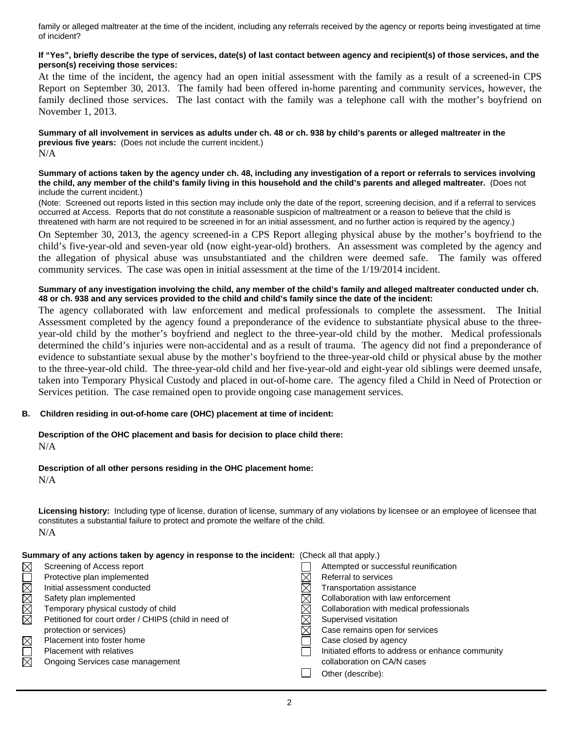family or alleged maltreater at the time of the incident, including any referrals received by the agency or reports being investigated at time of incident?

### **If "Yes", briefly describe the type of services, date(s) of last contact between agency and recipient(s) of those services, and the person(s) receiving those services:**

At the time of the incident, the agency had an open initial assessment with the family as a result of a screened-in CPS Report on September 30, 2013. The family had been offered in-home parenting and community services, however, the family declined those services. The last contact with the family was a telephone call with the mother's boyfriend on November 1, 2013.

**Summary of all involvement in services as adults under ch. 48 or ch. 938 by child's parents or alleged maltreater in the previous five years:** (Does not include the current incident.) N/A

#### **Summary of actions taken by the agency under ch. 48, including any investigation of a report or referrals to services involving the child, any member of the child's family living in this household and the child's parents and alleged maltreater.** (Does not include the current incident.)

(Note: Screened out reports listed in this section may include only the date of the report, screening decision, and if a referral to services occurred at Access. Reports that do not constitute a reasonable suspicion of maltreatment or a reason to believe that the child is threatened with harm are not required to be screened in for an initial assessment, and no further action is required by the agency.)

On September 30, 2013, the agency screened-in a CPS Report alleging physical abuse by the mother's boyfriend to the child's five-year-old and seven-year old (now eight-year-old) brothers. An assessment was completed by the agency and the allegation of physical abuse was unsubstantiated and the children were deemed safe. The family was offered community services. The case was open in initial assessment at the time of the 1/19/2014 incident.

#### **Summary of any investigation involving the child, any member of the child's family and alleged maltreater conducted under ch. 48 or ch. 938 and any services provided to the child and child's family since the date of the incident:**

The agency collaborated with law enforcement and medical professionals to complete the assessment. The Initial Assessment completed by the agency found a preponderance of the evidence to substantiate physical abuse to the threeyear-old child by the mother's boyfriend and neglect to the three-year-old child by the mother. Medical professionals determined the child's injuries were non-accidental and as a result of trauma. The agency did not find a preponderance of evidence to substantiate sexual abuse by the mother's boyfriend to the three-year-old child or physical abuse by the mother to the three-year-old child. The three-year-old child and her five-year-old and eight-year old siblings were deemed unsafe, taken into Temporary Physical Custody and placed in out-of-home care. The agency filed a Child in Need of Protection or Services petition. The case remained open to provide ongoing case management services.

## **B. Children residing in out-of-home care (OHC) placement at time of incident:**

**Description of the OHC placement and basis for decision to place child there:** N/A

## **Description of all other persons residing in the OHC placement home:**

N/A

**Licensing history:** Including type of license, duration of license, summary of any violations by licensee or an employee of licensee that constitutes a substantial failure to protect and promote the welfare of the child. N/A

| Summary of any actions taken by agency in response to the incluent: (Check all that apply.) |                                                      |  |                                                   |
|---------------------------------------------------------------------------------------------|------------------------------------------------------|--|---------------------------------------------------|
| $\boxtimes$                                                                                 | Screening of Access report                           |  | Attempted or successful reunification             |
|                                                                                             | Protective plan implemented                          |  | Referral to services                              |
| MMMMO                                                                                       | Initial assessment conducted                         |  | Transportation assistance                         |
|                                                                                             | Safety plan implemented                              |  | Collaboration with law enforcement                |
|                                                                                             | Temporary physical custody of child                  |  | Collaboration with medical professionals          |
|                                                                                             | Petitioned for court order / CHIPS (child in need of |  | Supervised visitation                             |
|                                                                                             | protection or services)                              |  | Case remains open for services                    |
| $\boxtimes$                                                                                 | Placement into foster home                           |  | Case closed by agency                             |
| $\Box$                                                                                      | <b>Placement with relatives</b>                      |  | Initiated efforts to address or enhance community |
| ⊠                                                                                           | Ongoing Services case management                     |  | collaboration on CA/N cases                       |
|                                                                                             |                                                      |  | Other (describe):                                 |

# **Summary of any actions taken by agency in response to the incident:** (Check all that apply.)